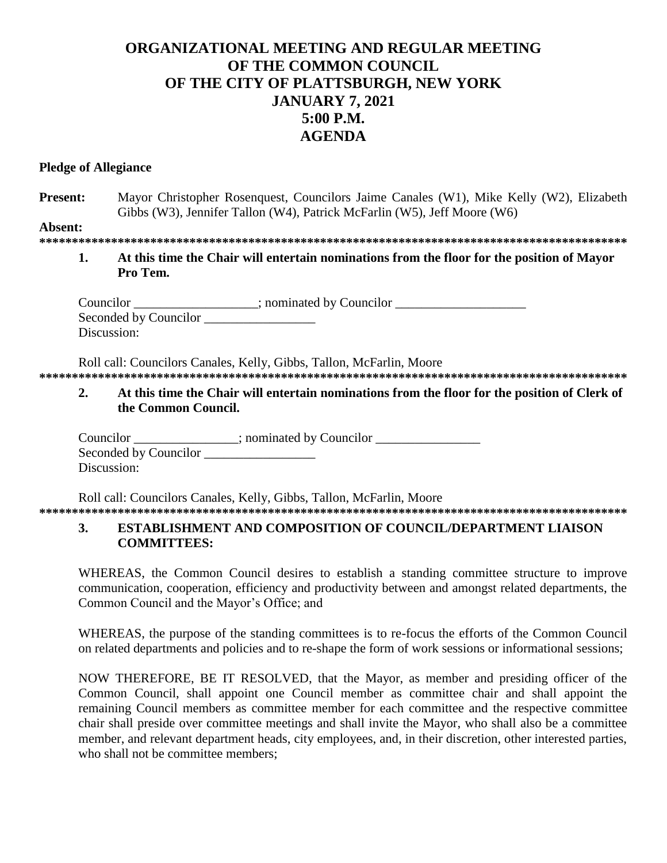# ORGANIZATIONAL MEETING AND REGULAR MEETING OF THE COMMON COUNCIL OF THE CITY OF PLATTSBURGH, NEW YORK **JANUARY 7, 2021**  $5:00$  P.M. **AGENDA**

#### **Pledge of Allegiance**

Mayor Christopher Rosenquest, Councilors Jaime Canales (W1), Mike Kelly (W2), Elizabeth **Present:** Gibbs (W3), Jennifer Tallon (W4), Patrick McFarlin (W5), Jeff Moore (W6)

Absent:

At this time the Chair will entertain nominations from the floor for the position of Mayor 1. Pro Tem.

Councilor \_\_\_\_\_\_\_\_\_\_\_\_\_\_\_; nominated by Councilor \_\_\_\_\_\_\_\_\_\_\_\_\_\_\_\_\_\_\_\_\_\_\_\_\_\_\_\_\_\_ Seconded by Councilor Discussion:

Roll call: Councilors Canales, Kelly, Gibbs, Tallon, McFarlin, Moore

At this time the Chair will entertain nominations from the floor for the position of Clerk of  $2.$ the Common Council.

Councilor \_\_\_\_\_\_\_\_\_\_\_\_\_\_; nominated by Councilor \_\_\_\_\_\_\_\_\_\_\_\_\_\_\_\_\_\_\_\_\_\_\_\_\_\_\_\_\_\_\_ Seconded by Councilor Discussion:

Roll call: Councilors Canales, Kelly, Gibbs, Tallon, McFarlin, Moore 

#### **ESTABLISHMENT AND COMPOSITION OF COUNCIL/DEPARTMENT LIAISON 3. COMMITTEES:**

WHEREAS, the Common Council desires to establish a standing committee structure to improve communication, cooperation, efficiency and productivity between and amongst related departments, the Common Council and the Mayor's Office; and

WHEREAS, the purpose of the standing committees is to re-focus the efforts of the Common Council on related departments and policies and to re-shape the form of work sessions or informational sessions;

NOW THEREFORE, BE IT RESOLVED, that the Mayor, as member and presiding officer of the Common Council, shall appoint one Council member as committee chair and shall appoint the remaining Council members as committee member for each committee and the respective committee chair shall preside over committee meetings and shall invite the Mayor, who shall also be a committee member, and relevant department heads, city employees, and, in their discretion, other interested parties, who shall not be committee members: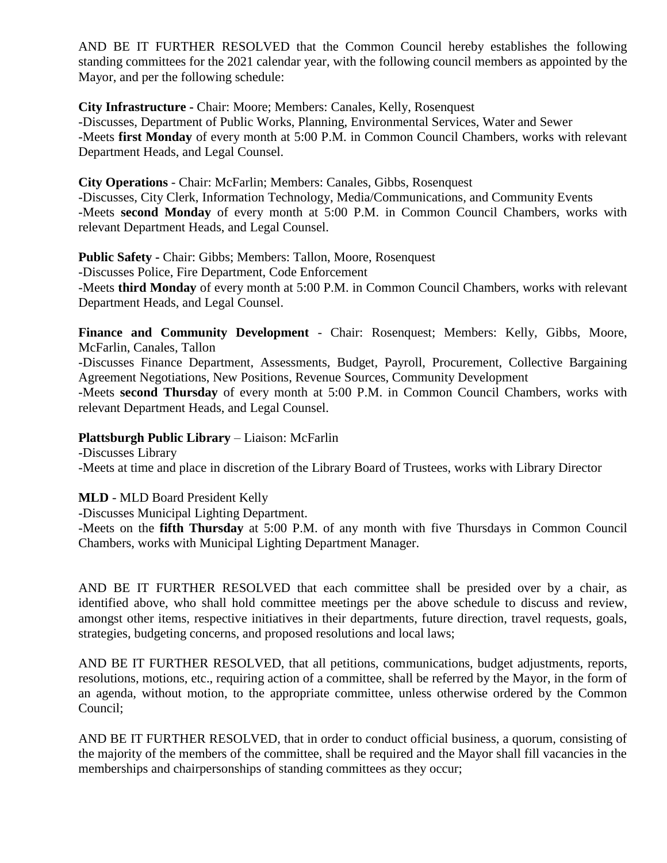AND BE IT FURTHER RESOLVED that the Common Council hereby establishes the following standing committees for the 2021 calendar year, with the following council members as appointed by the Mayor, and per the following schedule:

**City Infrastructure -** Chair: Moore; Members: Canales, Kelly, Rosenquest -Discusses, Department of Public Works, Planning, Environmental Services, Water and Sewer -Meets **first Monday** of every month at 5:00 P.M. in Common Council Chambers, works with relevant Department Heads, and Legal Counsel.

**City Operations** - Chair: McFarlin; Members: Canales, Gibbs, Rosenquest -Discusses, City Clerk, Information Technology, Media/Communications, and Community Events -Meets **second Monday** of every month at 5:00 P.M. in Common Council Chambers, works with relevant Department Heads, and Legal Counsel.

**Public Safety -** Chair: Gibbs; Members: Tallon, Moore, Rosenquest -Discusses Police, Fire Department, Code Enforcement -Meets **third Monday** of every month at 5:00 P.M. in Common Council Chambers, works with relevant Department Heads, and Legal Counsel.

Finance and Community Development - Chair: Rosenquest; Members: Kelly, Gibbs, Moore, McFarlin, Canales, Tallon

-Discusses Finance Department, Assessments, Budget, Payroll, Procurement, Collective Bargaining Agreement Negotiations, New Positions, Revenue Sources, Community Development

-Meets **second Thursday** of every month at 5:00 P.M. in Common Council Chambers, works with relevant Department Heads, and Legal Counsel.

## **Plattsburgh Public Library** – Liaison: McFarlin

-Discusses Library -Meets at time and place in discretion of the Library Board of Trustees, works with Library Director

# **MLD** - MLD Board President Kelly

-Discusses Municipal Lighting Department.

-Meets on the **fifth Thursday** at 5:00 P.M. of any month with five Thursdays in Common Council Chambers, works with Municipal Lighting Department Manager.

AND BE IT FURTHER RESOLVED that each committee shall be presided over by a chair, as identified above, who shall hold committee meetings per the above schedule to discuss and review, amongst other items, respective initiatives in their departments, future direction, travel requests, goals, strategies, budgeting concerns, and proposed resolutions and local laws;

AND BE IT FURTHER RESOLVED, that all petitions, communications, budget adjustments, reports, resolutions, motions, etc., requiring action of a committee, shall be referred by the Mayor, in the form of an agenda, without motion, to the appropriate committee, unless otherwise ordered by the Common Council;

AND BE IT FURTHER RESOLVED, that in order to conduct official business, a quorum, consisting of the majority of the members of the committee, shall be required and the Mayor shall fill vacancies in the memberships and chairpersonships of standing committees as they occur;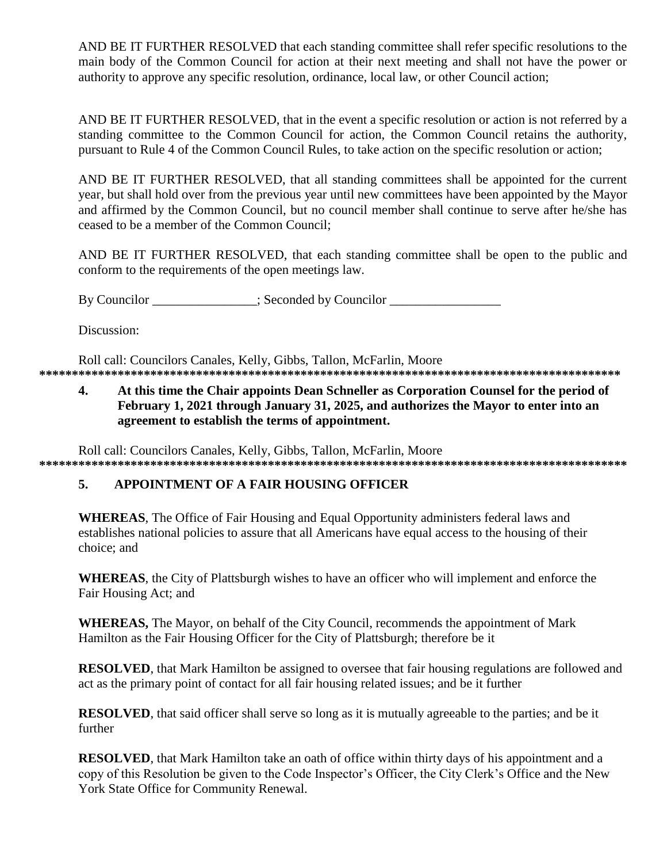AND BE IT FURTHER RESOLVED that each standing committee shall refer specific resolutions to the main body of the Common Council for action at their next meeting and shall not have the power or authority to approve any specific resolution, ordinance, local law, or other Council action;

AND BE IT FURTHER RESOLVED, that in the event a specific resolution or action is not referred by a standing committee to the Common Council for action, the Common Council retains the authority, pursuant to Rule 4 of the Common Council Rules, to take action on the specific resolution or action:

AND BE IT FURTHER RESOLVED, that all standing committees shall be appointed for the current year, but shall hold over from the previous year until new committees have been appointed by the Mayor and affirmed by the Common Council, but no council member shall continue to serve after he/she has ceased to be a member of the Common Council:

AND BE IT FURTHER RESOLVED, that each standing committee shall be open to the public and conform to the requirements of the open meetings law.

By Councilor \_\_\_\_\_\_\_\_\_\_\_\_\_; Seconded by Councilor \_\_\_\_\_\_\_\_\_\_\_\_\_\_\_\_\_\_\_\_\_\_\_\_\_\_\_\_\_\_

Discussion:

Roll call: Councilors Canales, Kelly, Gibbs, Tallon, McFarlin, Moore 

At this time the Chair appoints Dean Schneller as Corporation Counsel for the period of  $\overline{4}$ . February 1, 2021 through January 31, 2025, and authorizes the Mayor to enter into an agreement to establish the terms of appointment.

Roll call: Councilors Canales, Kelly, Gibbs, Tallon, McFarlin, Moore 

#### $5.$ APPOINTMENT OF A FAIR HOUSING OFFICER

**WHEREAS**, The Office of Fair Housing and Equal Opportunity administers federal laws and establishes national policies to assure that all Americans have equal access to the housing of their choice; and

**WHEREAS**, the City of Plattsburgh wishes to have an officer who will implement and enforce the Fair Housing Act; and

**WHEREAS,** The Mayor, on behalf of the City Council, recommends the appointment of Mark Hamilton as the Fair Housing Officer for the City of Plattsburgh; therefore be it

**RESOLVED**, that Mark Hamilton be assigned to oversee that fair housing regulations are followed and act as the primary point of contact for all fair housing related issues; and be it further

**RESOLVED**, that said officer shall serve so long as it is mutually agreeable to the parties; and be it further

**RESOLVED**, that Mark Hamilton take an oath of office within thirty days of his appointment and a copy of this Resolution be given to the Code Inspector's Officer, the City Clerk's Office and the New York State Office for Community Renewal.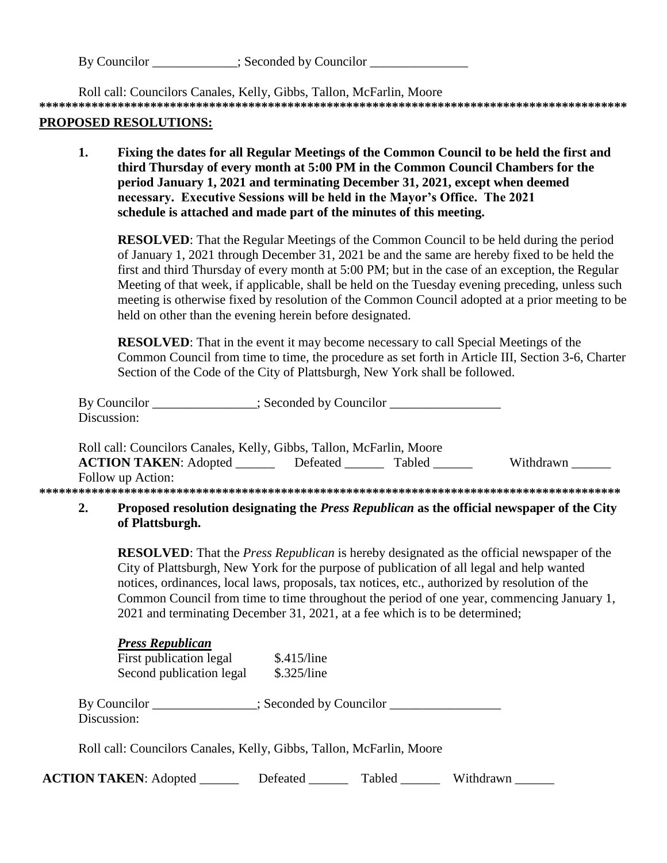| By Councilor | : Seconded by Councilor |  |
|--------------|-------------------------|--|
|              |                         |  |

Roll call: Councilors Canales, Kelly, Gibbs, Tallon, McFarlin, Moore **\*\*\*\*\*\*\*\*\*\*\*\*\*\*\*\*\*\*\*\*\*\*\*\*\*\*\*\*\*\*\*\*\*\*\*\*\*\*\*\*\*\*\*\*\*\*\*\*\*\*\*\*\*\*\*\*\*\*\*\*\*\*\*\*\*\*\*\*\*\*\*\*\*\*\*\*\*\*\*\*\*\*\*\*\*\*\*\*\*\***

### **PROPOSED RESOLUTIONS:**

**1. Fixing the dates for all Regular Meetings of the Common Council to be held the first and third Thursday of every month at 5:00 PM in the Common Council Chambers for the period January 1, 2021 and terminating December 31, 2021, except when deemed necessary. Executive Sessions will be held in the Mayor's Office. The 2021 schedule is attached and made part of the minutes of this meeting.**

**RESOLVED:** That the Regular Meetings of the Common Council to be held during the period of January 1, 2021 through December 31, 2021 be and the same are hereby fixed to be held the first and third Thursday of every month at 5:00 PM; but in the case of an exception, the Regular Meeting of that week, if applicable, shall be held on the Tuesday evening preceding, unless such meeting is otherwise fixed by resolution of the Common Council adopted at a prior meeting to be held on other than the evening herein before designated.

**RESOLVED**: That in the event it may become necessary to call Special Meetings of the Common Council from time to time, the procedure as set forth in Article III, Section 3-6, Charter Section of the Code of the City of Plattsburgh, New York shall be followed.

| By Councilor                                                         | : Seconded by Councilor. |               |           |
|----------------------------------------------------------------------|--------------------------|---------------|-----------|
| Discussion:                                                          |                          |               |           |
| Roll call: Councilors Canales, Kelly, Gibbs, Tallon, McFarlin, Moore |                          |               |           |
|                                                                      |                          |               |           |
| <b>ACTION TAKEN: Adopted</b>                                         | Defeated                 | <b>Tabled</b> | Withdrawn |
| Follow up Action:                                                    |                          |               |           |

## **2. Proposed resolution designating the** *Press Republican* **as the official newspaper of the City of Plattsburgh.**

**RESOLVED**: That the *Press Republican* is hereby designated as the official newspaper of the City of Plattsburgh, New York for the purpose of publication of all legal and help wanted notices, ordinances, local laws, proposals, tax notices, etc., authorized by resolution of the Common Council from time to time throughout the period of one year, commencing January 1, 2021 and terminating December 31, 2021, at a fee which is to be determined;

| <b>Press Republican</b><br>First publication legal<br>Second publication legal | \$.415/line<br>\$.325/line |                                    |           |  |
|--------------------------------------------------------------------------------|----------------------------|------------------------------------|-----------|--|
| By Councilor<br>Discussion:                                                    |                            | $\therefore$ Seconded by Councilor |           |  |
| Roll call: Councilors Canales, Kelly, Gibbs, Tallon, McFarlin, Moore           |                            |                                    |           |  |
| <b>ACTION TAKEN: Adopted</b>                                                   | Defeated                   | Tabled                             | Withdrawn |  |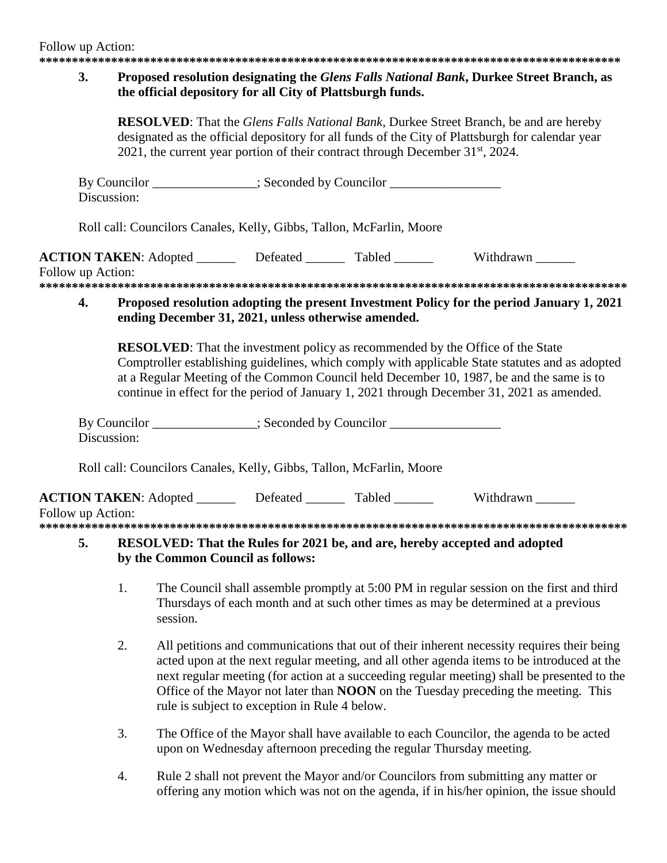#### $3.$ Proposed resolution designating the *Glens Falls National Bank*, Durkee Street Branch, as the official depository for all City of Plattsburgh funds.

**RESOLVED:** That the *Glens Falls National Bank*, Durkee Street Branch, be and are hereby designated as the official depository for all funds of the City of Plattsburgh for calendar year 2021, the current year portion of their contract through December  $31<sup>st</sup>$ , 2024.

|                                                                                                                                                                                                                                                                                                                                                                                    | Discussion: | By Councilor _______________; Seconded by Councilor ____________________________         |  |  |                                                                                           |
|------------------------------------------------------------------------------------------------------------------------------------------------------------------------------------------------------------------------------------------------------------------------------------------------------------------------------------------------------------------------------------|-------------|------------------------------------------------------------------------------------------|--|--|-------------------------------------------------------------------------------------------|
|                                                                                                                                                                                                                                                                                                                                                                                    |             | Roll call: Councilors Canales, Kelly, Gibbs, Tallon, McFarlin, Moore                     |  |  |                                                                                           |
| Follow up Action:                                                                                                                                                                                                                                                                                                                                                                  |             | <b>ACTION TAKEN:</b> Adopted _________ Defeated ________ Tabled _______ Withdrawn ______ |  |  |                                                                                           |
|                                                                                                                                                                                                                                                                                                                                                                                    | 4.          | ending December 31, 2021, unless otherwise amended.                                      |  |  | Proposed resolution adopting the present Investment Policy for the period January 1, 2021 |
| <b>RESOLVED:</b> That the investment policy as recommended by the Office of the State<br>Comptroller establishing guidelines, which comply with applicable State statutes and as adopted<br>at a Regular Meeting of the Common Council held December 10, 1987, be and the same is to<br>continue in effect for the period of January 1, 2021 through December 31, 2021 as amended. |             |                                                                                          |  |  |                                                                                           |
|                                                                                                                                                                                                                                                                                                                                                                                    | Discussion: | By Councilor ______________; Seconded by Councilor _____________________________         |  |  |                                                                                           |
|                                                                                                                                                                                                                                                                                                                                                                                    |             | Roll call: Councilors Canales, Kelly, Gibbs, Tallon, McFarlin, Moore                     |  |  |                                                                                           |
| Follow up Action:                                                                                                                                                                                                                                                                                                                                                                  |             | <b>ACTION TAKEN:</b> Adopted _________ Defeated _______ Tabled _______                   |  |  | Withdrawn                                                                                 |

#### 5. **RESOLVED:** That the Rules for 2021 be, and are, hereby accepted and adopted by the Common Council as follows:

- 1. The Council shall assemble promptly at 5:00 PM in regular session on the first and third Thursdays of each month and at such other times as may be determined at a previous session.
- $2.$ All petitions and communications that out of their inherent necessity requires their being acted upon at the next regular meeting, and all other agenda items to be introduced at the next regular meeting (for action at a succeeding regular meeting) shall be presented to the Office of the Mayor not later than **NOON** on the Tuesday preceding the meeting. This rule is subject to exception in Rule 4 below.
- 3. The Office of the Mayor shall have available to each Councilor, the agenda to be acted upon on Wednesday afternoon preceding the regular Thursday meeting.
- $\overline{4}$ . Rule 2 shall not prevent the Mayor and/or Councilors from submitting any matter or offering any motion which was not on the agenda, if in his/her opinion, the issue should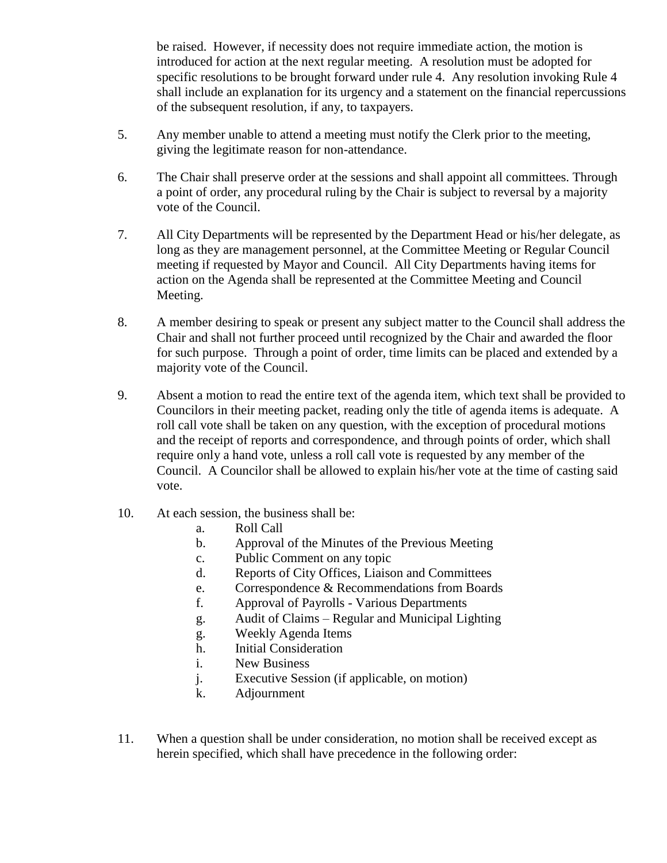be raised. However, if necessity does not require immediate action, the motion is introduced for action at the next regular meeting. A resolution must be adopted for specific resolutions to be brought forward under rule 4. Any resolution invoking Rule 4 shall include an explanation for its urgency and a statement on the financial repercussions of the subsequent resolution, if any, to taxpayers.

- 5. Any member unable to attend a meeting must notify the Clerk prior to the meeting, giving the legitimate reason for non-attendance.
- 6. The Chair shall preserve order at the sessions and shall appoint all committees. Through a point of order, any procedural ruling by the Chair is subject to reversal by a majority vote of the Council.
- 7. All City Departments will be represented by the Department Head or his/her delegate, as long as they are management personnel, at the Committee Meeting or Regular Council meeting if requested by Mayor and Council. All City Departments having items for action on the Agenda shall be represented at the Committee Meeting and Council Meeting.
- 8. A member desiring to speak or present any subject matter to the Council shall address the Chair and shall not further proceed until recognized by the Chair and awarded the floor for such purpose. Through a point of order, time limits can be placed and extended by a majority vote of the Council.
- 9. Absent a motion to read the entire text of the agenda item, which text shall be provided to Councilors in their meeting packet, reading only the title of agenda items is adequate. A roll call vote shall be taken on any question, with the exception of procedural motions and the receipt of reports and correspondence, and through points of order, which shall require only a hand vote, unless a roll call vote is requested by any member of the Council. A Councilor shall be allowed to explain his/her vote at the time of casting said vote.
- 10. At each session, the business shall be:
	- a. Roll Call
	- b. Approval of the Minutes of the Previous Meeting
	- c. Public Comment on any topic
	- d. Reports of City Offices, Liaison and Committees
	- e. Correspondence & Recommendations from Boards
	- f. Approval of Payrolls Various Departments
	- g. Audit of Claims Regular and Municipal Lighting
	- g. Weekly Agenda Items
	- h. Initial Consideration
	- i. New Business
	- j. Executive Session (if applicable, on motion)
	- k. Adjournment
- 11. When a question shall be under consideration, no motion shall be received except as herein specified, which shall have precedence in the following order: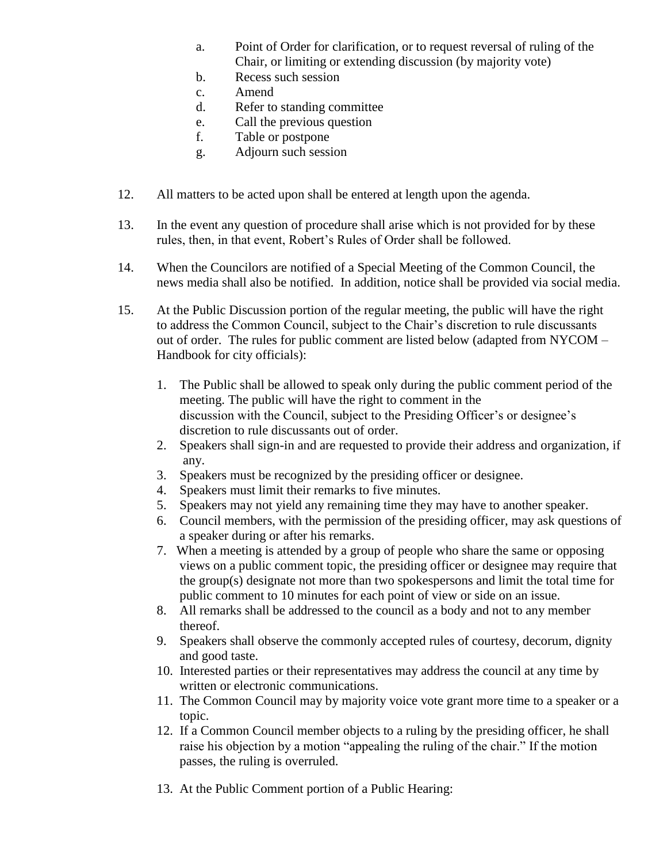- a. Point of Order for clarification, or to request reversal of ruling of the Chair, or limiting or extending discussion (by majority vote)
- b. Recess such session
- c. Amend
- d. Refer to standing committee
- e. Call the previous question
- f. Table or postpone
- g. Adjourn such session
- 12. All matters to be acted upon shall be entered at length upon the agenda.
- 13. In the event any question of procedure shall arise which is not provided for by these rules, then, in that event, Robert's Rules of Order shall be followed.
- 14. When the Councilors are notified of a Special Meeting of the Common Council, the news media shall also be notified. In addition, notice shall be provided via social media.
- 15. At the Public Discussion portion of the regular meeting, the public will have the right to address the Common Council, subject to the Chair's discretion to rule discussants out of order. The rules for public comment are listed below (adapted from NYCOM – Handbook for city officials):
	- 1. The Public shall be allowed to speak only during the public comment period of the meeting. The public will have the right to comment in the discussion with the Council, subject to the Presiding Officer's or designee's discretion to rule discussants out of order.
	- 2. Speakers shall sign-in and are requested to provide their address and organization, if any.
	- 3. Speakers must be recognized by the presiding officer or designee.
	- 4. Speakers must limit their remarks to five minutes.
	- 5. Speakers may not yield any remaining time they may have to another speaker.
	- 6. Council members, with the permission of the presiding officer, may ask questions of a speaker during or after his remarks.
	- 7. When a meeting is attended by a group of people who share the same or opposing views on a public comment topic, the presiding officer or designee may require that the group(s) designate not more than two spokespersons and limit the total time for public comment to 10 minutes for each point of view or side on an issue.
	- 8. All remarks shall be addressed to the council as a body and not to any member thereof.
	- 9. Speakers shall observe the commonly accepted rules of courtesy, decorum, dignity and good taste.
	- 10. Interested parties or their representatives may address the council at any time by written or electronic communications.
	- 11. The Common Council may by majority voice vote grant more time to a speaker or a topic.
	- 12. If a Common Council member objects to a ruling by the presiding officer, he shall raise his objection by a motion "appealing the ruling of the chair." If the motion passes, the ruling is overruled.
	- 13. At the Public Comment portion of a Public Hearing: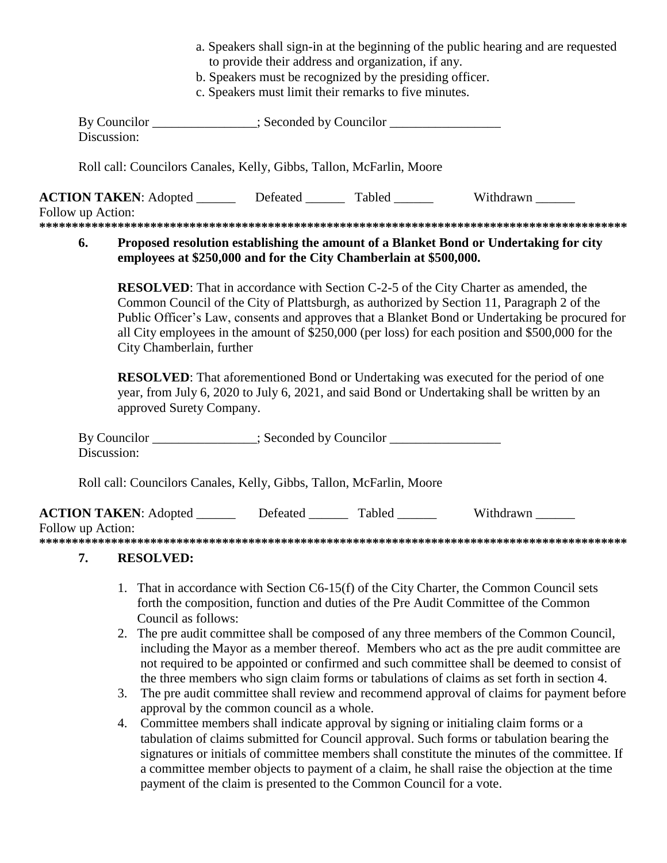- a. Speakers shall sign-in at the beginning of the public hearing and are requested to provide their address and organization, if any.
- b. Speakers must be recognized by the presiding officer.
- c. Speakers must limit their remarks to five minutes.

|                   | By Councilor ______________; Seconded by Councilor _____________________________<br>Discussion:                                                                                                                                                                                                                                                                                                                                                                                                                                                                                                                                                        |
|-------------------|--------------------------------------------------------------------------------------------------------------------------------------------------------------------------------------------------------------------------------------------------------------------------------------------------------------------------------------------------------------------------------------------------------------------------------------------------------------------------------------------------------------------------------------------------------------------------------------------------------------------------------------------------------|
|                   | Roll call: Councilors Canales, Kelly, Gibbs, Tallon, McFarlin, Moore                                                                                                                                                                                                                                                                                                                                                                                                                                                                                                                                                                                   |
| Follow up Action: | ACTION TAKEN: Adopted ________ Defeated _______ Tabled _______ Withdrawn ______                                                                                                                                                                                                                                                                                                                                                                                                                                                                                                                                                                        |
| 6.                | Proposed resolution establishing the amount of a Blanket Bond or Undertaking for city<br>employees at \$250,000 and for the City Chamberlain at \$500,000.                                                                                                                                                                                                                                                                                                                                                                                                                                                                                             |
|                   | <b>RESOLVED:</b> That in accordance with Section C-2-5 of the City Charter as amended, the<br>Common Council of the City of Plattsburgh, as authorized by Section 11, Paragraph 2 of the<br>Public Officer's Law, consents and approves that a Blanket Bond or Undertaking be procured for<br>all City employees in the amount of \$250,000 (per loss) for each position and \$500,000 for the<br>City Chamberlain, further<br><b>RESOLVED:</b> That aforementioned Bond or Undertaking was executed for the period of one<br>year, from July 6, 2020 to July 6, 2021, and said Bond or Undertaking shall be written by an<br>approved Surety Company. |
|                   | By Councilor _______________; Seconded by Councilor ____________________________<br>Discussion:                                                                                                                                                                                                                                                                                                                                                                                                                                                                                                                                                        |
|                   | Roll call: Councilors Canales, Kelly, Gibbs, Tallon, McFarlin, Moore                                                                                                                                                                                                                                                                                                                                                                                                                                                                                                                                                                                   |
| Follow up Action: | <b>ACTION TAKEN:</b> Adopted ________ Defeated _______ Tabled _______ Withdrawn ______                                                                                                                                                                                                                                                                                                                                                                                                                                                                                                                                                                 |
| 7.                | <b>RESOLVED:</b>                                                                                                                                                                                                                                                                                                                                                                                                                                                                                                                                                                                                                                       |
|                   | 1. That in accordance with Section C6-15(f) of the City Charter, the Common Council sets<br>forth the composition, function and duties of the Pre Audit Committee of the Common<br>Council as follows:<br>2 The pre-audit committee shall be composed of any three members of the Common Council                                                                                                                                                                                                                                                                                                                                                       |

- 2. The pre audit committee shall be composed of any three members of the Common Council, including the Mayor as a member thereof. Members who act as the pre audit committee are not required to be appointed or confirmed and such committee shall be deemed to consist of the three members who sign claim forms or tabulations of claims as set forth in section 4.
- 3. The pre audit committee shall review and recommend approval of claims for payment before approval by the common council as a whole.
- 4. Committee members shall indicate approval by signing or initialing claim forms or a tabulation of claims submitted for Council approval. Such forms or tabulation bearing the signatures or initials of committee members shall constitute the minutes of the committee. If a committee member objects to payment of a claim, he shall raise the objection at the time payment of the claim is presented to the Common Council for a vote.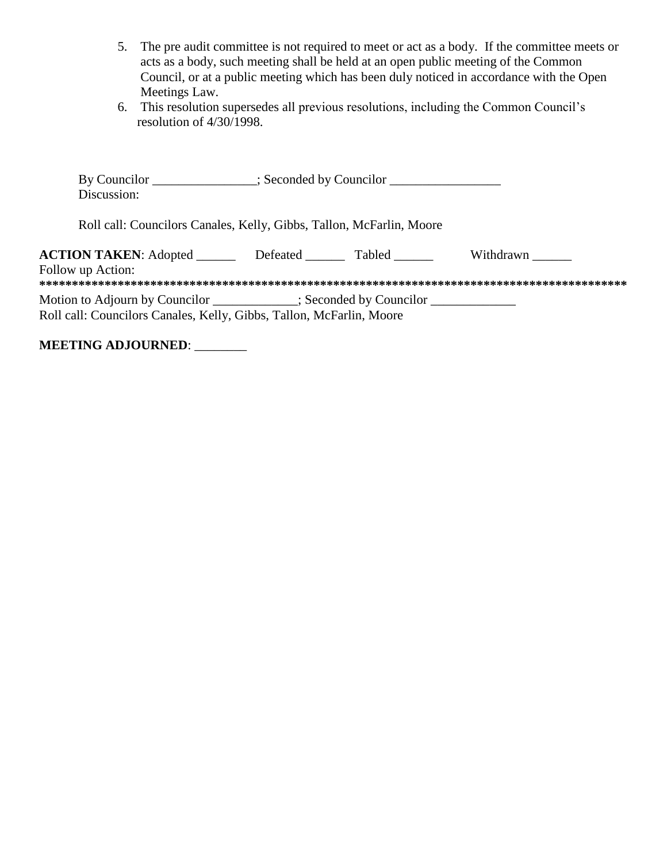- 5. The pre audit committee is not required to meet or act as a body. If the committee meets or acts as a body, such meeting shall be held at an open public meeting of the Common Council, or at a public meeting which has been duly noticed in accordance with the Open Meetings Law.
- 6. This resolution supersedes all previous resolutions, including the Common Council's resolution of 4/30/1998.

| By Councilor _______________; Seconded by Councilor ____________________________<br>Discussion:                                                         |          |               |           |  |
|---------------------------------------------------------------------------------------------------------------------------------------------------------|----------|---------------|-----------|--|
| Roll call: Councilors Canales, Kelly, Gibbs, Tallon, McFarlin, Moore                                                                                    |          |               |           |  |
| <b>ACTION TAKEN:</b> Adopted<br>Follow up Action:                                                                                                       | Defeated | <b>Tabled</b> | Withdrawn |  |
| Motion to Adjourn by Councilor __________; Seconded by Councilor ______________<br>Roll call: Councilors Canales, Kelly, Gibbs, Tallon, McFarlin, Moore |          |               |           |  |

**MEETING ADJOURNED**: \_\_\_\_\_\_\_\_